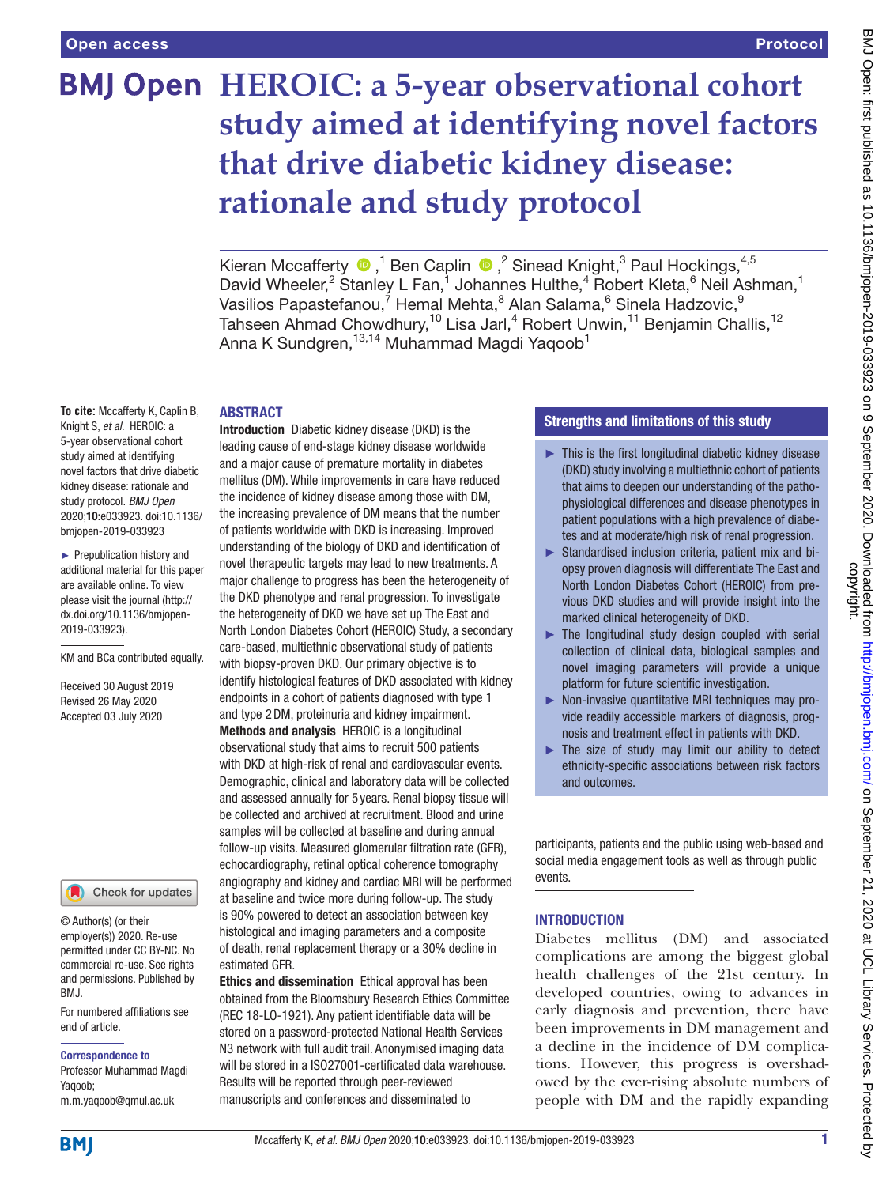# **BMJ Open HEROIC: a 5-year observational cohort study aimed at identifying novel factors that drive diabetic kidney disease: rationale and study protocol**

KieranMccafferty  $\bigcirc$ ,<sup>1</sup> Ben Caplin  $\bigcirc$ ,<sup>2</sup> Sinead Knight,<sup>3</sup> Paul Hockings,<sup>4,5</sup> David Wheeler,<sup>2</sup> Stanley L Fan,<sup>1</sup> Johannes Hulthe,<sup>4</sup> Robert Kleta,<sup>6</sup> Neil Ashman,<sup>1</sup> Vasilios Papastefanou,<sup>7</sup> Hemal Mehta, $^8$  Alan Salama, $^6$  Sinela Hadzovic, $^9$ Tahseen Ahmad Chowdhury,<sup>10</sup> Lisa Jarl,<sup>4</sup> Robert Unwin,<sup>11</sup> Benjamin Challis,<sup>12</sup> Anna K Sundgren, 13,14 Muhammad Magdi Yaqoob<sup>1</sup>

#### ABSTRACT

**To cite:** Mccafferty K, Caplin B, Knight S, *et al*. HEROIC: a 5-year observational cohort study aimed at identifying novel factors that drive diabetic kidney disease: rationale and study protocol. *BMJ Open* 2020;10:e033923. doi:10.1136/ bmjopen-2019-033923

► Prepublication history and additional material for this paper are available online. To view please visit the journal (http:// dx.doi.org/10.1136/bmjopen-2019-033923).

KM and BCa contributed equally.

Received 30 August 2019 Revised 26 May 2020 Accepted 03 July 2020



© Author(s) (or their employer(s)) 2020. Re-use permitted under CC BY-NC. No commercial re-use. See rights and permissions. Published by BMJ.

For numbered affiliations see end of article.

#### Correspondence to

Professor Muhammad Magdi Yaqoob; m.m.yaqoob@qmul.ac.uk

Introduction Diabetic kidney disease (DKD) is the leading cause of end-stage kidney disease worldwide and a major cause of premature mortality in diabetes mellitus (DM). While improvements in care have reduced the incidence of kidney disease among those with DM, the increasing prevalence of DM means that the number of patients worldwide with DKD is increasing. Improved understanding of the biology of DKD and identification of novel therapeutic targets may lead to new treatments. A major challenge to progress has been the heterogeneity of the DKD phenotype and renal progression. To investigate the heterogeneity of DKD we have set up The East and North London Diabetes Cohort (HEROIC) Study, a secondary care-based, multiethnic observational study of patients with biopsy-proven DKD. Our primary objective is to identify histological features of DKD associated with kidney endpoints in a cohort of patients diagnosed with type 1 and type 2DM, proteinuria and kidney impairment. Methods and analysis HEROIC is a longitudinal observational study that aims to recruit 500 patients with DKD at high-risk of renal and cardiovascular events. Demographic, clinical and laboratory data will be collected and assessed annually for 5 years. Renal biopsy tissue will be collected and archived at recruitment. Blood and urine samples will be collected at baseline and during annual follow-up visits. Measured glomerular filtration rate (GFR), echocardiography, retinal optical coherence tomography angiography and kidney and cardiac MRI will be performed at baseline and twice more during follow-up. The study is 90% powered to detect an association between key histological and imaging parameters and a composite of death, renal replacement therapy or a 30% decline in estimated GFR.

Ethics and dissemination Ethical approval has been obtained from the Bloomsbury Research Ethics Committee (REC 18-LO-1921). Any patient identifiable data will be stored on a password-protected National Health Services N3 network with full audit trail. Anonymised imaging data will be stored in a ISO27001-certificated data warehouse. Results will be reported through peer-reviewed manuscripts and conferences and disseminated to

### Strengths and limitations of this study

- ► This is the first longitudinal diabetic kidney disease (DKD) study involving a multiethnic cohort of patients that aims to deepen our understanding of the pathophysiological differences and disease phenotypes in patient populations with a high prevalence of diabetes and at moderate/high risk of renal progression.
- ► Standardised inclusion criteria, patient mix and biopsy proven diagnosis will differentiate The East and North London Diabetes Cohort (HEROIC) from previous DKD studies and will provide insight into the marked clinical heterogeneity of DKD.
- $\blacktriangleright$  The longitudinal study design coupled with serial collection of clinical data, biological samples and novel imaging parameters will provide a unique platform for future scientific investigation.
- ► Non-invasive quantitative MRI techniques may provide readily accessible markers of diagnosis, prognosis and treatment effect in patients with DKD.
- $\blacktriangleright$  The size of study may limit our ability to detect ethnicity-specific associations between risk factors and outcomes.

participants, patients and the public using web-based and social media engagement tools as well as through public events.

#### INTRODUCTION

Diabetes mellitus (DM) and associated complications are among the biggest global health challenges of the 21st century. In developed countries, owing to advances in early diagnosis and prevention, there have been improvements in DM management and a decline in the incidence of DM complications. However, this progress is overshadowed by the ever-rising absolute numbers of people with DM and the rapidly expanding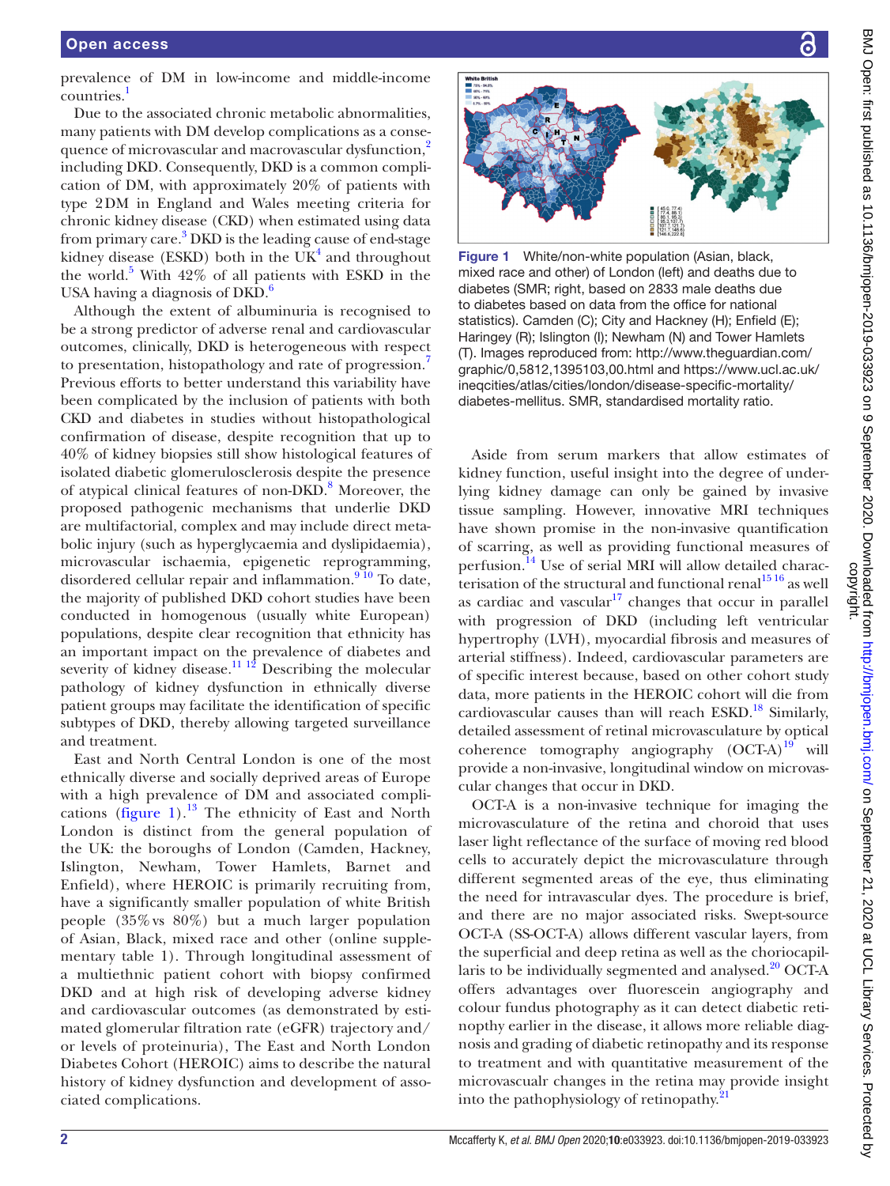prevalence of DM in low-income and middle-income countries.<sup>[1](#page-6-0)</sup>

Due to the associated chronic metabolic abnormalities, many patients with DM develop complications as a conse-quence of microvascular and macrovascular dysfunction,<sup>[2](#page-6-1)</sup> including DKD. Consequently, DKD is a common complication of DM, with approximately 20% of patients with type 2DM in England and Wales meeting criteria for chronic kidney disease (CKD) when estimated using data from primary care.<sup>[3](#page-6-2)</sup> DKD is the leading cause of end-stage kidney disease (ESKD) both in the  $UK<sup>4</sup>$  and throughout the world. $5$  With 42% of all patients with ESKD in the USA having a diagnosis of  $DKD$ .<sup>[6](#page-6-5)</sup>

Although the extent of albuminuria is recognised to be a strong predictor of adverse renal and cardiovascular outcomes, clinically, DKD is heterogeneous with respect to presentation, histopathology and rate of progression.[7](#page-6-6) Previous efforts to better understand this variability have been complicated by the inclusion of patients with both CKD and diabetes in studies without histopathological confirmation of disease, despite recognition that up to 40% of kidney biopsies still show histological features of isolated diabetic glomerulosclerosis despite the presence of atypical clinical features of non-DKD.<sup>8</sup> Moreover, the proposed pathogenic mechanisms that underlie DKD are multifactorial, complex and may include direct metabolic injury (such as hyperglycaemia and dyslipidaemia), microvascular ischaemia, epigenetic reprogramming, disordered cellular repair and inflammation.<sup>910</sup> To date, the majority of published DKD cohort studies have been conducted in homogenous (usually white European) populations, despite clear recognition that ethnicity has an important impact on the prevalence of diabetes and severity of kidney disease.<sup>11 12</sup> Describing the molecular pathology of kidney dysfunction in ethnically diverse patient groups may facilitate the identification of specific subtypes of DKD, thereby allowing targeted surveillance and treatment.

East and North Central London is one of the most ethnically diverse and socially deprived areas of Europe with a high prevalence of DM and associated compli-cations [\(figure](#page-1-0) 1).<sup>[13](#page-6-10)</sup> The ethnicity of East and North London is distinct from the general population of the UK: the boroughs of London (Camden, Hackney, Islington, Newham, Tower Hamlets, Barnet and Enfield), where HEROIC is primarily recruiting from, have a significantly smaller population of white British people (35%vs 80%) but a much larger population of Asian, Black, mixed race and other ([online supple](https://dx.doi.org/10.1136/bmjopen-2019-033923)[mentary table 1\)](https://dx.doi.org/10.1136/bmjopen-2019-033923). Through longitudinal assessment of a multiethnic patient cohort with biopsy confirmed DKD and at high risk of developing adverse kidney and cardiovascular outcomes (as demonstrated by estimated glomerular filtration rate (eGFR) trajectory and/ or levels of proteinuria), The East and North London Diabetes Cohort (HEROIC) aims to describe the natural history of kidney dysfunction and development of associated complications.



<span id="page-1-0"></span>Figure 1 White/non-white population (Asian, black, mixed race and other) of London (left) and deaths due to diabetes (SMR; right, based on 2833 male deaths due to diabetes based on data from the office for national statistics). Camden (C); City and Hackney (H); Enfield (E); Haringey (R); Islington (I); Newham (N) and Tower Hamlets (T). Images reproduced from: [http://www.theguardian.com/](http://www.theguardian.com/graphic/0,5812,1395103,00.html) [graphic/0,5812,1395103,00.html](http://www.theguardian.com/graphic/0,5812,1395103,00.html) and [https://www.ucl.ac.uk/](https://www.ucl.ac.uk/ineqcities/atlas/cities/london/disease-specific-mortality/diabetes-mellitus) [ineqcities/atlas/cities/london/disease-specific-mortality/](https://www.ucl.ac.uk/ineqcities/atlas/cities/london/disease-specific-mortality/diabetes-mellitus) [diabetes-mellitus.](https://www.ucl.ac.uk/ineqcities/atlas/cities/london/disease-specific-mortality/diabetes-mellitus) SMR, standardised mortality ratio.

Aside from serum markers that allow estimates of kidney function, useful insight into the degree of underlying kidney damage can only be gained by invasive tissue sampling. However, innovative MRI techniques have shown promise in the non-invasive quantification of scarring, as well as providing functional measures of perfusion.<sup>14</sup> Use of serial MRI will allow detailed characterisation of the structural and functional renal<sup>1516</sup> as well as cardiac and vascular $17$  changes that occur in parallel with progression of DKD (including left ventricular hypertrophy (LVH), myocardial fibrosis and measures of arterial stiffness). Indeed, cardiovascular parameters are of specific interest because, based on other cohort study data, more patients in the HEROIC cohort will die from cardiovascular causes than will reach  $ESKD$ .<sup>18</sup> Similarly, detailed assessment of retinal microvasculature by optical coherence tomography angiography  $(OCT-A)^{19}$  $(OCT-A)^{19}$  $(OCT-A)^{19}$  will provide a non-invasive, longitudinal window on microvascular changes that occur in DKD.

OCT-A is a non-invasive technique for imaging the microvasculature of the retina and choroid that uses laser light reflectance of the surface of moving red blood cells to accurately depict the microvasculature through different segmented areas of the eye, thus eliminating the need for intravascular dyes. The procedure is brief, and there are no major associated risks. Swept-source OCT-A (SS-OCT-A) allows different vascular layers, from the superficial and deep retina as well as the choriocapillaris to be individually segmented and analysed. $20$  OCT-A offers advantages over fluorescein angiography and colour fundus photography as it can detect diabetic retinopthy earlier in the disease, it allows more reliable diagnosis and grading of diabetic retinopathy and its response to treatment and with quantitative measurement of the microvascualr changes in the retina may provide insight into the pathophysiology of retinopathy.<sup>2</sup>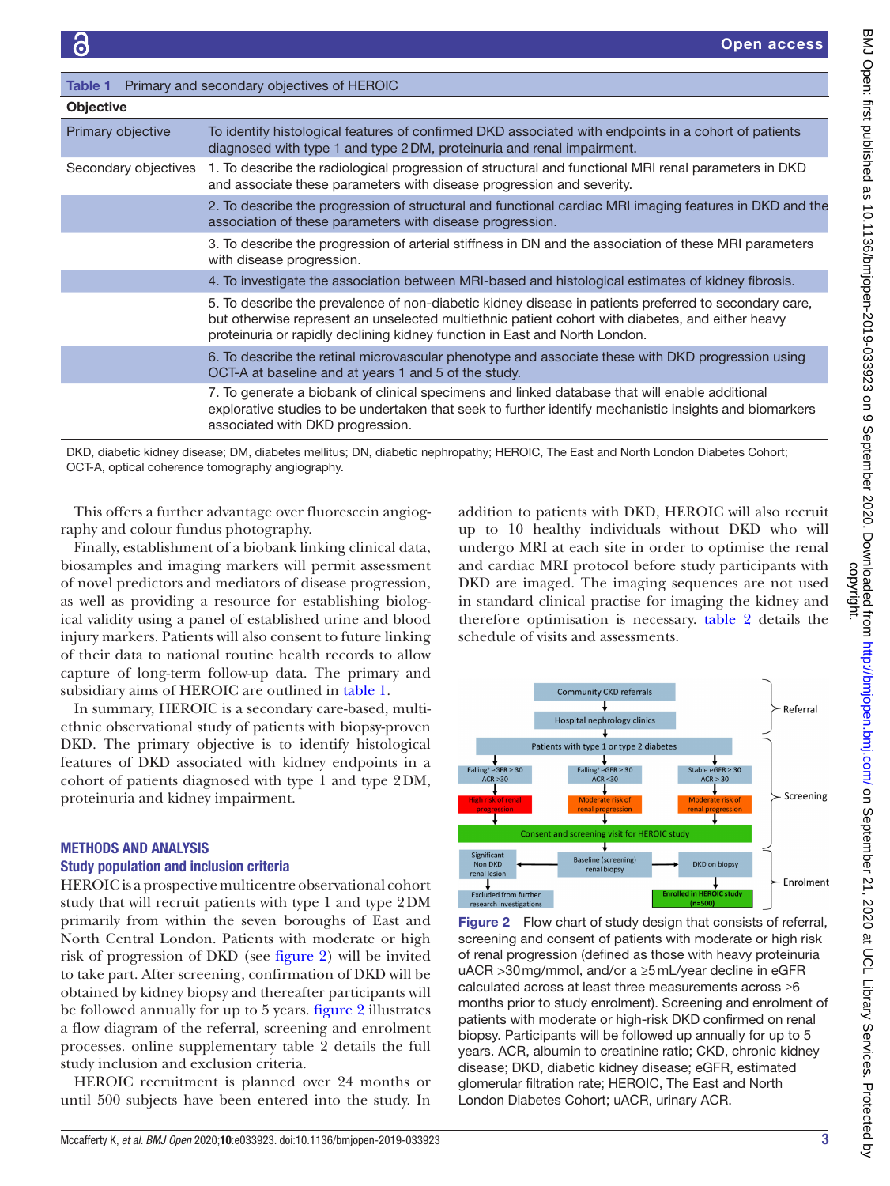<span id="page-2-0"></span>

| Primary and secondary objectives of HEROIC<br>Table 1 |                                                                                                                                                                                                                                                                                         |  |  |  |  |  |  |
|-------------------------------------------------------|-----------------------------------------------------------------------------------------------------------------------------------------------------------------------------------------------------------------------------------------------------------------------------------------|--|--|--|--|--|--|
| <b>Objective</b>                                      |                                                                                                                                                                                                                                                                                         |  |  |  |  |  |  |
| Primary objective                                     | To identify histological features of confirmed DKD associated with endpoints in a cohort of patients<br>diagnosed with type 1 and type 2DM, proteinuria and renal impairment.                                                                                                           |  |  |  |  |  |  |
| Secondary objectives                                  | 1. To describe the radiological progression of structural and functional MRI renal parameters in DKD<br>and associate these parameters with disease progression and severity.                                                                                                           |  |  |  |  |  |  |
|                                                       | 2. To describe the progression of structural and functional cardiac MRI imaging features in DKD and the<br>association of these parameters with disease progression.                                                                                                                    |  |  |  |  |  |  |
|                                                       | 3. To describe the progression of arterial stiffness in DN and the association of these MRI parameters<br>with disease progression.                                                                                                                                                     |  |  |  |  |  |  |
|                                                       | 4. To investigate the association between MRI-based and histological estimates of kidney fibrosis.                                                                                                                                                                                      |  |  |  |  |  |  |
|                                                       | 5. To describe the prevalence of non-diabetic kidney disease in patients preferred to secondary care,<br>but otherwise represent an unselected multiethnic patient cohort with diabetes, and either heavy<br>proteinuria or rapidly declining kidney function in East and North London. |  |  |  |  |  |  |
|                                                       | 6. To describe the retinal microvascular phenotype and associate these with DKD progression using<br>OCT-A at baseline and at years 1 and 5 of the study.                                                                                                                               |  |  |  |  |  |  |
|                                                       | 7. To generate a biobank of clinical specimens and linked database that will enable additional<br>explorative studies to be undertaken that seek to further identify mechanistic insights and biomarkers<br>associated with DKD progression.                                            |  |  |  |  |  |  |

DKD, diabetic kidney disease; DM, diabetes mellitus; DN, diabetic nephropathy; HEROIC, The East and North London Diabetes Cohort; OCT-A, optical coherence tomography angiography.

This offers a further advantage over fluorescein angiography and colour fundus photography.

Finally, establishment of a biobank linking clinical data, biosamples and imaging markers will permit assessment of novel predictors and mediators of disease progression, as well as providing a resource for establishing biological validity using a panel of established urine and blood injury markers. Patients will also consent to future linking of their data to national routine health records to allow capture of long-term follow-up data. The primary and subsidiary aims of HEROIC are outlined in [table](#page-2-0) 1.

In summary, HEROIC is a secondary care-based, multiethnic observational study of patients with biopsy-proven DKD. The primary objective is to identify histological features of DKD associated with kidney endpoints in a cohort of patients diagnosed with type 1 and type 2DM, proteinuria and kidney impairment.

## METHODS AND ANALYSIS

#### Study population and inclusion criteria

HEROIC is a prospective multicentre observational cohort study that will recruit patients with type 1 and type 2DM primarily from within the seven boroughs of East and North Central London. Patients with moderate or high risk of progression of DKD (see [figure](#page-2-1) 2) will be invited to take part. After screening, confirmation of DKD will be obtained by kidney biopsy and thereafter participants will be followed annually for up to 5 years. [figure](#page-2-1) 2 illustrates a flow diagram of the referral, screening and enrolment processes. [online supplementary table 2](https://dx.doi.org/10.1136/bmjopen-2019-033923) details the full study inclusion and exclusion criteria.

HEROIC recruitment is planned over 24 months or until 500 subjects have been entered into the study. In addition to patients with DKD, HEROIC will also recruit up to 10 healthy individuals without DKD who will undergo MRI at each site in order to optimise the renal and cardiac MRI protocol before study participants with DKD are imaged. The imaging sequences are not used in standard clinical practise for imaging the kidney and therefore optimisation is necessary. [table](#page-3-0) 2 details the schedule of visits and assessments.



<span id="page-2-1"></span>Figure 2 Flow chart of study design that consists of referral, screening and consent of patients with moderate or high risk of renal progression (defined as those with heavy proteinuria uACR >30mg/mmol, and/or a ≥5mL/year decline in eGFR calculated across at least three measurements across ≥6 months prior to study enrolment). Screening and enrolment of patients with moderate or high-risk DKD confirmed on renal biopsy. Participants will be followed up annually for up to 5 years. ACR, albumin to creatinine ratio; CKD, chronic kidney disease; DKD, diabetic kidney disease; eGFR, estimated glomerular filtration rate; HEROIC, The East and North London Diabetes Cohort; uACR, urinary ACR.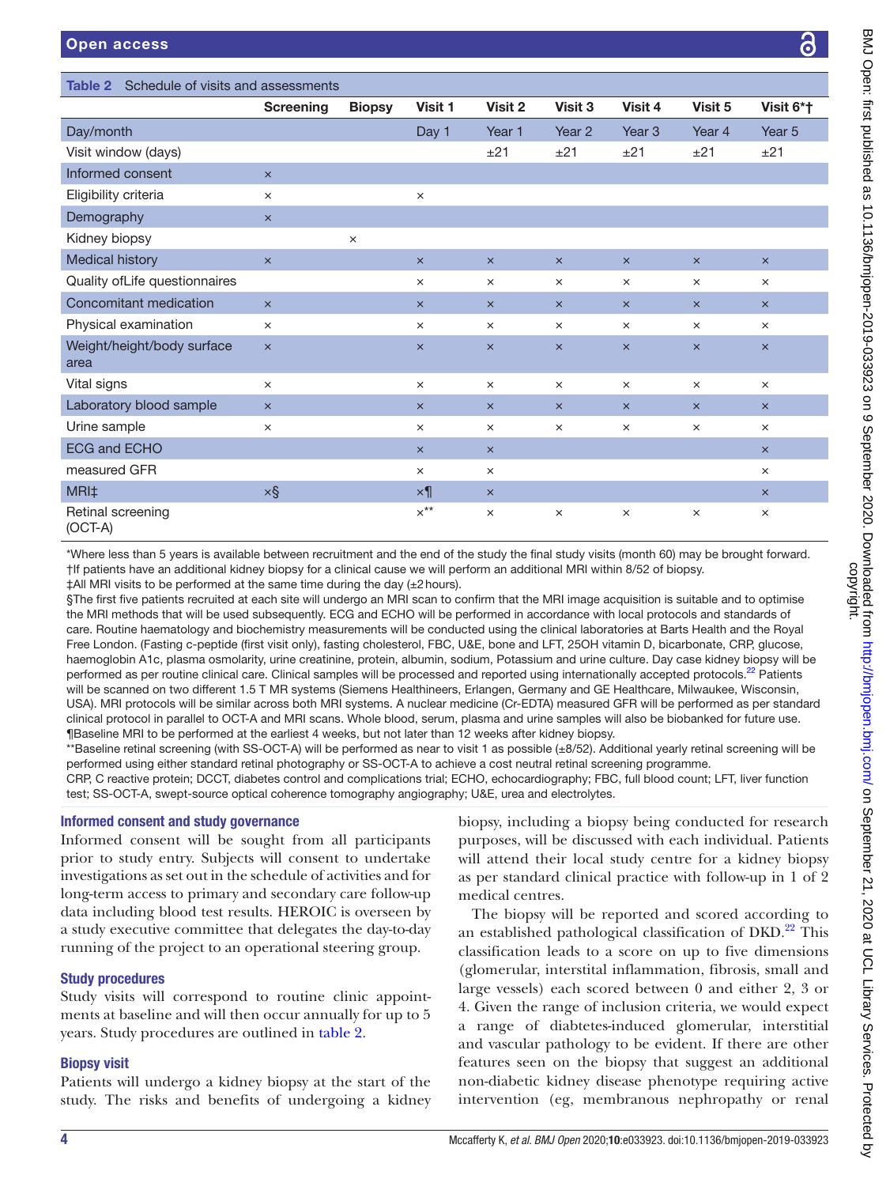<span id="page-3-0"></span>

| Schedule of visits and assessments<br><b>Table 2</b> |                       |               |                       |                       |                       |                       |                       |                       |  |  |
|------------------------------------------------------|-----------------------|---------------|-----------------------|-----------------------|-----------------------|-----------------------|-----------------------|-----------------------|--|--|
|                                                      | <b>Screening</b>      | <b>Biopsy</b> | Visit 1               | Visit 2               | Visit 3               | Visit 4               | Visit 5               | Visit 6*†             |  |  |
| Day/month                                            |                       |               | Day 1                 | Year 1                | Year 2                | Year <sub>3</sub>     | Year 4                | Year <sub>5</sub>     |  |  |
| Visit window (days)                                  |                       |               |                       | ±21                   | ±21                   | ±21                   | ±21                   | ±21                   |  |  |
| Informed consent                                     | $\times$              |               |                       |                       |                       |                       |                       |                       |  |  |
| Eligibility criteria                                 | $\times$              |               | $\times$              |                       |                       |                       |                       |                       |  |  |
| Demography                                           | $\pmb{\times}$        |               |                       |                       |                       |                       |                       |                       |  |  |
| Kidney biopsy                                        |                       | $\times$      |                       |                       |                       |                       |                       |                       |  |  |
| <b>Medical history</b>                               | $\boldsymbol{\times}$ |               | $\boldsymbol{\times}$ | $\times$              | $\boldsymbol{\times}$ | $\pmb{\times}$        | $\boldsymbol{\times}$ | $\boldsymbol{\times}$ |  |  |
| Quality ofLife questionnaires                        |                       |               | $\times$              | $\times$              | $\times$              | $\times$              | $\times$              | $\times$              |  |  |
| Concomitant medication                               | $\boldsymbol{\times}$ |               | $\times$              | $\boldsymbol{\times}$ | $\times$              | $\times$              | $\times$              | $\times$              |  |  |
| Physical examination                                 | $\times$              |               | $\times$              | $\times$              | $\times$              | $\times$              | $\times$              | $\times$              |  |  |
| Weight/height/body surface<br>area                   | $\times$              |               | $\boldsymbol{\times}$ | $\times$              | $\boldsymbol{\times}$ | $\boldsymbol{\times}$ | $\pmb{\times}$        | $\times$              |  |  |
| Vital signs                                          | $\times$              |               | $\times$              | $\times$              | $\times$              | $\times$              | $\times$              | $\times$              |  |  |
| Laboratory blood sample                              | $\times$              |               | $\times$              | $\boldsymbol{\times}$ | $\times$              | $\times$              | $\times$              | $\times$              |  |  |
| Urine sample                                         | $\times$              |               | $\times$              | $\times$              | $\times$              | $\times$              | $\times$              | $\times$              |  |  |
| <b>ECG and ECHO</b>                                  |                       |               | $\times$              | $\times$              |                       |                       |                       | $\times$              |  |  |
| measured GFR                                         |                       |               | $\times$              | $\times$              |                       |                       |                       | $\times$              |  |  |
| MRI‡                                                 | $\times$ §            |               | $\times$ ¶            | $\boldsymbol{\times}$ |                       |                       |                       | $\boldsymbol{\times}$ |  |  |
| Retinal screening<br>$(OCT-A)$                       |                       |               | $x^{**}$              | $\times$              | $\times$              | $\times$              | $\times$              | $\times$              |  |  |
|                                                      |                       |               |                       |                       |                       |                       |                       |                       |  |  |

\*Where less than 5 years is available between recruitment and the end of the study the final study visits (month 60) may be brought forward. †If patients have an additional kidney biopsy for a clinical cause we will perform an additional MRI within 8/52 of biopsy.

‡All MRI visits to be performed at the same time during the day (±2hours).

§The first five patients recruited at each site will undergo an MRI scan to confirm that the MRI image acquisition is suitable and to optimise the MRI methods that will be used subsequently. ECG and ECHO will be performed in accordance with local protocols and standards of care. Routine haematology and biochemistry measurements will be conducted using the clinical laboratories at Barts Health and the Royal Free London. (Fasting c-peptide (first visit only), fasting cholesterol, FBC, U&E, bone and LFT, 25OH vitamin D, bicarbonate, CRP, glucose, haemoglobin A1c, plasma osmolarity, urine creatinine, protein, albumin, sodium, Potassium and urine culture. Day case kidney biopsy will be performed as per routine clinical care. Clinical samples will be processed and reported using internationally accepted protocols.<sup>22</sup> Patients will be scanned on two different 1.5 T MR systems (Siemens Healthineers, Erlangen, Germany and GE Healthcare, Milwaukee, Wisconsin, USA). MRI protocols will be similar across both MRI systems. A nuclear medicine (Cr-EDTA) measured GFR will be performed as per standard clinical protocol in parallel to OCT-A and MRI scans. Whole blood, serum, plasma and urine samples will also be biobanked for future use. ¶Baseline MRI to be performed at the earliest 4 weeks, but not later than 12 weeks after kidney biopsy.

\*\*Baseline retinal screening (with SS-OCT-A) will be performed as near to visit 1 as possible (±8/52). Additional yearly retinal screening will be performed using either standard retinal photography or SS-OCT-A to achieve a cost neutral retinal screening programme. CRP, C reactive protein; DCCT, diabetes control and complications trial; ECHO, echocardiography; FBC, full blood count; LFT, liver function

test; SS-OCT-A, swept-source optical coherence tomography angiography; U&E, urea and electrolytes.

## Informed consent and study governance

Informed consent will be sought from all participants prior to study entry. Subjects will consent to undertake investigations as set out in the schedule of activities and for long-term access to primary and secondary care follow-up data including blood test results. HEROIC is overseen by a study executive committee that delegates the day-to-day running of the project to an operational steering group.

## Study procedures

Study visits will correspond to routine clinic appointments at baseline and will then occur annually for up to 5 years. Study procedures are outlined in [table](#page-3-0) 2.

## Biopsy visit

Patients will undergo a kidney biopsy at the start of the study. The risks and benefits of undergoing a kidney

biopsy, including a biopsy being conducted for research purposes, will be discussed with each individual. Patients will attend their local study centre for a kidney biopsy as per standard clinical practice with follow-up in 1 of 2 medical centres.

The biopsy will be reported and scored according to an established pathological classification of DKD.<sup>22</sup> This classification leads to a score on up to five dimensions (glomerular, interstital inflammation, fibrosis, small and large vessels) each scored between 0 and either 2, 3 or 4. Given the range of inclusion criteria, we would expect a range of diabtetes-induced glomerular, interstitial and vascular pathology to be evident. If there are other features seen on the biopsy that suggest an additional non-diabetic kidney disease phenotype requiring active intervention (eg, membranous nephropathy or renal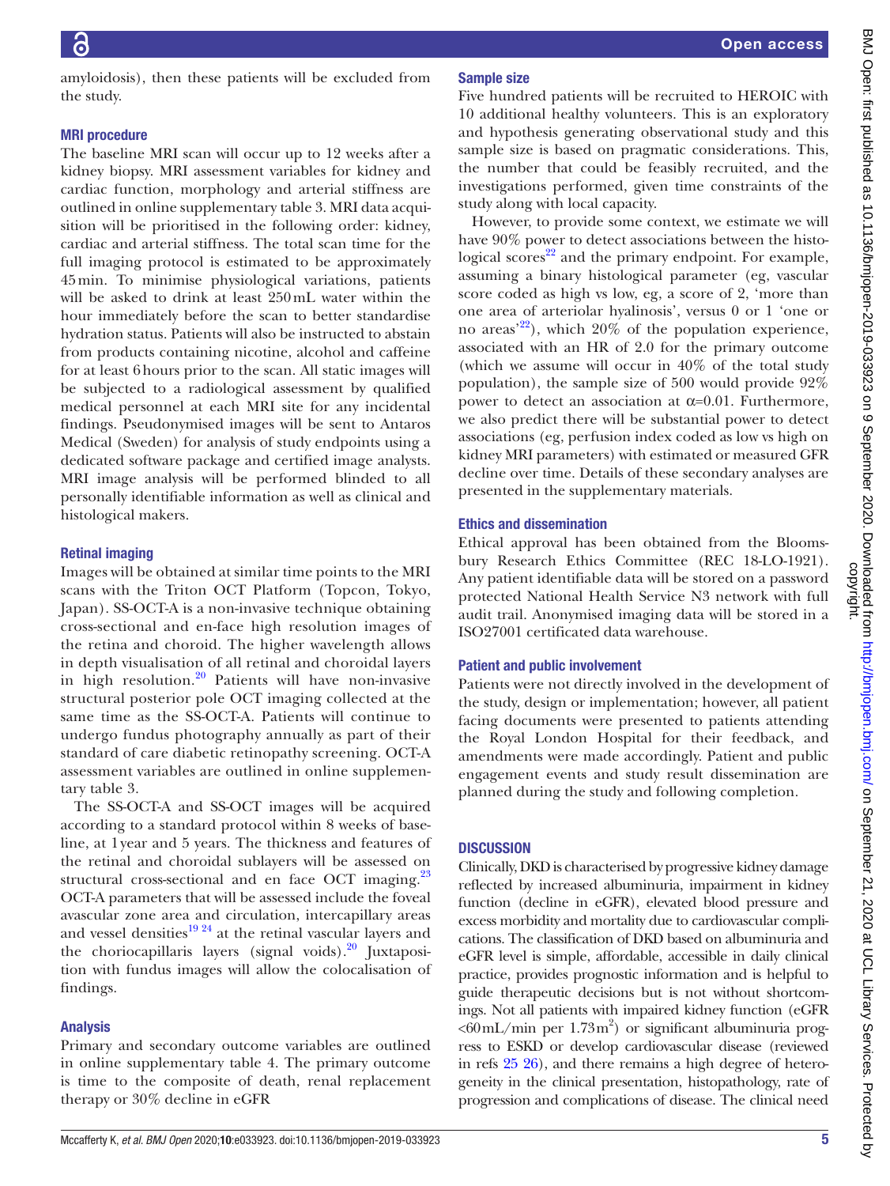amyloidosis), then these patients will be excluded from the study.

#### MRI procedure

The baseline MRI scan will occur up to 12 weeks after a kidney biopsy. MRI assessment variables for kidney and cardiac function, morphology and arterial stiffness are outlined in [online supplementary table 3](https://dx.doi.org/10.1136/bmjopen-2019-033923). MRI data acquisition will be prioritised in the following order: kidney, cardiac and arterial stiffness. The total scan time for the full imaging protocol is estimated to be approximately 45min. To minimise physiological variations, patients will be asked to drink at least 250mL water within the hour immediately before the scan to better standardise hydration status. Patients will also be instructed to abstain from products containing nicotine, alcohol and caffeine for at least 6hours prior to the scan. All static images will be subjected to a radiological assessment by qualified medical personnel at each MRI site for any incidental findings. Pseudonymised images will be sent to Antaros Medical (Sweden) for analysis of study endpoints using a dedicated software package and certified image analysts. MRI image analysis will be performed blinded to all personally identifiable information as well as clinical and histological makers.

## Retinal imaging

Images will be obtained at similar time points to the MRI scans with the Triton OCT Platform (Topcon, Tokyo, Japan). SS-OCT-A is a non-invasive technique obtaining cross-sectional and en-face high resolution images of the retina and choroid. The higher wavelength allows in depth visualisation of all retinal and choroidal layers in high resolution.<sup>20</sup> Patients will have non-invasive structural posterior pole OCT imaging collected at the same time as the SS-OCT-A. Patients will continue to undergo fundus photography annually as part of their standard of care diabetic retinopathy screening. OCT-A assessment variables are outlined in [online supplemen](https://dx.doi.org/10.1136/bmjopen-2019-033923)[tary table 3](https://dx.doi.org/10.1136/bmjopen-2019-033923).

The SS-OCT-A and SS-OCT images will be acquired according to a standard protocol within 8 weeks of baseline, at 1year and 5 years. The thickness and features of the retinal and choroidal sublayers will be assessed on structural cross-sectional and en face OCT imaging.<sup>23</sup> OCT-A parameters that will be assessed include the foveal avascular zone area and circulation, intercapillary areas and vessel densities $19^{24}$  at the retinal vascular layers and the choriocapillaris layers (signal voids). $^{20}$  Juxtaposition with fundus images will allow the colocalisation of findings.

## Analysis

Primary and secondary outcome variables are outlined in [online supplementary table 4](https://dx.doi.org/10.1136/bmjopen-2019-033923). The primary outcome is time to the composite of death, renal replacement therapy or 30% decline in eGFR

## Sample size

Five hundred patients will be recruited to HEROIC with 10 additional healthy volunteers. This is an exploratory and hypothesis generating observational study and this sample size is based on pragmatic considerations. This, the number that could be feasibly recruited, and the investigations performed, given time constraints of the study along with local capacity.

However, to provide some context, we estimate we will have 90% power to detect associations between the histological scores $^{22}$  $^{22}$  $^{22}$  and the primary endpoint. For example, assuming a binary histological parameter (eg, vascular score coded as high vs low, eg, a score of 2, 'more than one area of arteriolar hyalinosis', versus 0 or 1 'one or no areas<sup>'22</sup>), which  $20\%$  of the population experience, associated with an HR of 2.0 for the primary outcome (which we assume will occur in 40% of the total study population), the sample size of 500 would provide 92% power to detect an association at  $α=0.01$ . Furthermore, we also predict there will be substantial power to detect associations (eg, perfusion index coded as low vs high on kidney MRI parameters) with estimated or measured GFR decline over time. Details of these secondary analyses are presented in the supplementary materials.

## Ethics and dissemination

Ethical approval has been obtained from the Bloomsbury Research Ethics Committee (REC 18-LO-1921). Any patient identifiable data will be stored on a password protected National Health Service N3 network with full audit trail. Anonymised imaging data will be stored in a ISO27001 certificated data warehouse.

## Patient and public involvement

Patients were not directly involved in the development of the study, design or implementation; however, all patient facing documents were presented to patients attending the Royal London Hospital for their feedback, and amendments were made accordingly. Patient and public engagement events and study result dissemination are planned during the study and following completion.

## **DISCUSSION**

Clinically, DKD is characterised by progressive kidney damage reflected by increased albuminuria, impairment in kidney function (decline in eGFR), elevated blood pressure and excess morbidity and mortality due to cardiovascular complications. The classification of DKD based on albuminuria and eGFR level is simple, affordable, accessible in daily clinical practice, provides prognostic information and is helpful to guide therapeutic decisions but is not without shortcomings. Not all patients with impaired kidney function (eGFR  $<60$ mL/min per  $1.73$ m<sup>2</sup>) or significant albuminuria progress to ESKD or develop cardiovascular disease (reviewed in refs [25 26](#page-6-20)), and there remains a high degree of heterogeneity in the clinical presentation, histopathology, rate of progression and complications of disease. The clinical need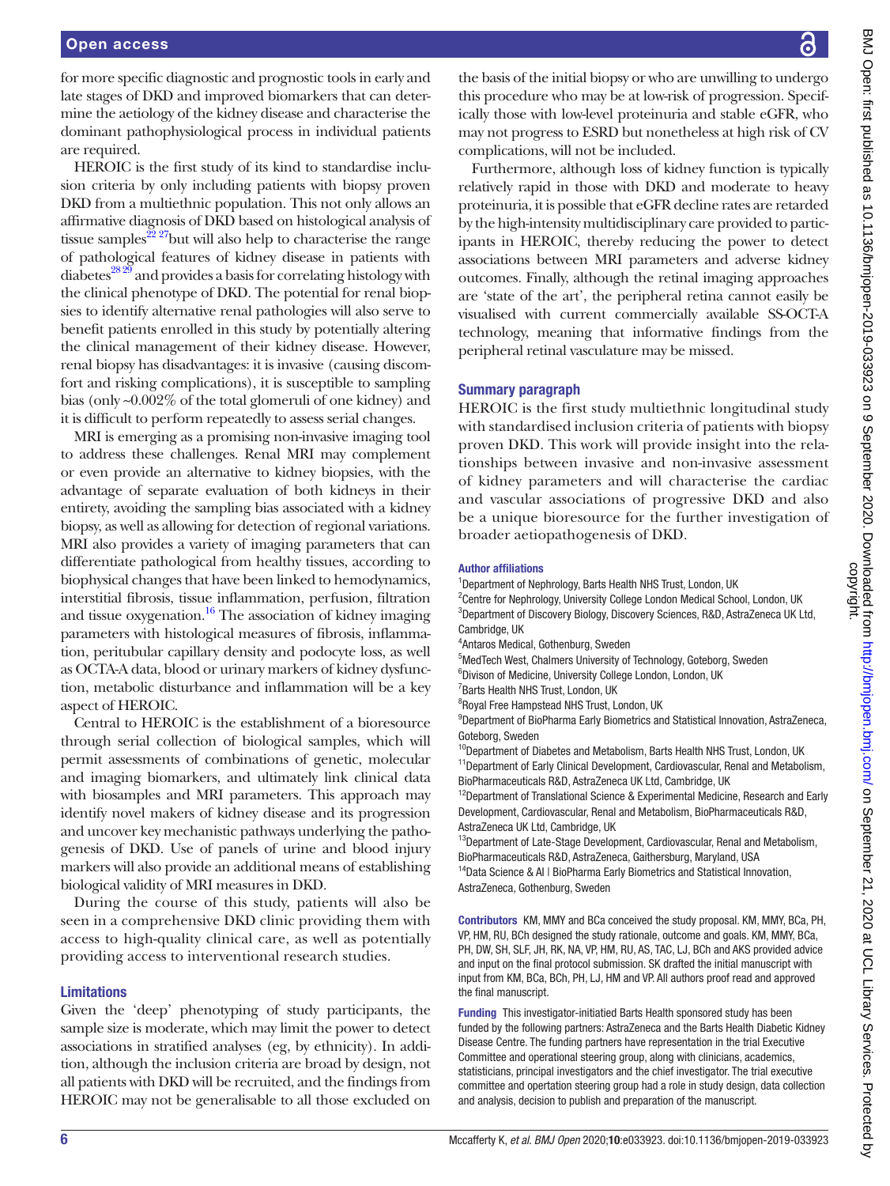for more specific diagnostic and prognostic tools in early and late stages of DKD and improved biomarkers that can determine the aetiology of the kidney disease and characterise the dominant pathophysiological process in individual patients are required.

HEROIC is the first study of its kind to standardise inclusion criteria by only including patients with biopsy proven DKD from a multiethnic population. This not only allows an affirmative diagnosis of DKD based on histological analysis of tissue samples<sup>22 27</sup>but will also help to characterise the range of pathological features of kidney disease in patients with  $diabetes<sup>28.29</sup>$  and provides a basis for correlating histology with the clinical phenotype of DKD. The potential for renal biopsies to identify alternative renal pathologies will also serve to benefit patients enrolled in this study by potentially altering the clinical management of their kidney disease. However, renal biopsy has disadvantages: it is invasive (causing discomfort and risking complications), it is susceptible to sampling bias (only ~0.002% of the total glomeruli of one kidney) and it is difficult to perform repeatedly to assess serial changes.

MRI is emerging as a promising non-invasive imaging tool to address these challenges. Renal MRI may complement or even provide an alternative to kidney biopsies, with the advantage of separate evaluation of both kidneys in their entirety, avoiding the sampling bias associated with a kidney biopsy, as well as allowing for detection of regional variations. MRI also provides a variety of imaging parameters that can differentiate pathological from healthy tissues, according to biophysical changes that have been linked to hemodynamics, interstitial fibrosis, tissue inflammation, perfusion, filtration and tissue oxygenation.<sup>16</sup> The association of kidney imaging parameters with histological measures of fibrosis, inflammation, peritubular capillary density and podocyte loss, as well as OCTA-A data, blood or urinary markers of kidney dysfunction, metabolic disturbance and inflammation will be a key aspect of HEROIC.

Central to HEROIC is the establishment of a bioresource through serial collection of biological samples, which will permit assessments of combinations of genetic, molecular and imaging biomarkers, and ultimately link clinical data with biosamples and MRI parameters. This approach may identify novel makers of kidney disease and its progression and uncover key mechanistic pathways underlying the pathogenesis of DKD. Use of panels of urine and blood injury markers will also provide an additional means of establishing biological validity of MRI measures in DKD.

During the course of this study, patients will also be seen in a comprehensive DKD clinic providing them with access to high-quality clinical care, as well as potentially providing access to interventional research studies.

#### Limitations

Given the 'deep' phenotyping of study participants, the sample size is moderate, which may limit the power to detect associations in stratified analyses (eg, by ethnicity). In addition, although the inclusion criteria are broad by design, not all patients with DKD will be recruited, and the findings from HEROIC may not be generalisable to all those excluded on

the basis of the initial biopsy or who are unwilling to undergo this procedure who may be at low-risk of progression. Specifically those with low-level proteinuria and stable eGFR, who may not progress to ESRD but nonetheless at high risk of CV complications, will not be included.

Furthermore, although loss of kidney function is typically relatively rapid in those with DKD and moderate to heavy proteinuria, it is possible that eGFR decline rates are retarded by the high-intensity multidisciplinary care provided to participants in HEROIC, thereby reducing the power to detect associations between MRI parameters and adverse kidney outcomes. Finally, although the retinal imaging approaches are 'state of the art', the peripheral retina cannot easily be visualised with current commercially available SS-OCT-A technology, meaning that informative findings from the peripheral retinal vasculature may be missed.

#### Summary paragraph

HEROIC is the first study multiethnic longitudinal study with standardised inclusion criteria of patients with biopsy proven DKD. This work will provide insight into the relationships between invasive and non-invasive assessment of kidney parameters and will characterise the cardiac and vascular associations of progressive DKD and also be a unique bioresource for the further investigation of broader aetiopathogenesis of DKD.

#### Author affiliations

<sup>1</sup>Department of Nephrology, Barts Health NHS Trust, London, UK

<sup>2</sup> Centre for Nephrology, University College London Medical School, London, UK 3 Department of Discovery Biology, Discovery Sciences, R&D, AstraZeneca UK Ltd, Cambridge, UK

4 Antaros Medical, Gothenburg, Sweden

- 5 MedTech West, Chalmers University of Technology, Goteborg, Sweden
- 6 Divison of Medicine, University College London, London, UK

<sup>7</sup> Barts Health NHS Trust, London, UK

<sup>8</sup>Royal Free Hampstead NHS Trust, London, UK

9 Department of BioPharma Early Biometrics and Statistical Innovation, AstraZeneca, Goteborg, Sweden

<sup>10</sup>Department of Diabetes and Metabolism, Barts Health NHS Trust, London, UK  $11$ Department of Early Clinical Development, Cardiovascular, Renal and Metabolism, BioPharmaceuticals R&D, AstraZeneca UK Ltd, Cambridge, UK

 $12$ Department of Translational Science & Experimental Medicine, Research and Early Development, Cardiovascular, Renal and Metabolism, BioPharmaceuticals R&D, AstraZeneca UK Ltd, Cambridge, UK

<sup>13</sup>Department of Late-Stage Development, Cardiovascular, Renal and Metabolism, BioPharmaceuticals R&D, AstraZeneca, Gaithersburg, Maryland, USA

<sup>14</sup>Data Science & AI | BioPharma Early Biometrics and Statistical Innovation, AstraZeneca, Gothenburg, Sweden

Contributors KM, MMY and BCa conceived the study proposal. KM, MMY, BCa, PH, VP, HM, RU, BCh designed the study rationale, outcome and goals. KM, MMY, BCa, PH, DW, SH, SLF, JH, RK, NA, VP, HM, RU, AS, TAC, LJ, BCh and AKS provided advice and input on the final protocol submission. SK drafted the initial manuscript with input from KM, BCa, BCh, PH, LJ, HM and VP. All authors proof read and approved the final manuscript.

Funding This investigator-initiatied Barts Health sponsored study has been funded by the following partners: AstraZeneca and the Barts Health Diabetic Kidney Disease Centre. The funding partners have representation in the trial Executive Committee and operational steering group, along with clinicians, academics, statisticians, principal investigators and the chief investigator. The trial executive committee and opertation steering group had a role in study design, data collection and analysis, decision to publish and preparation of the manuscript.